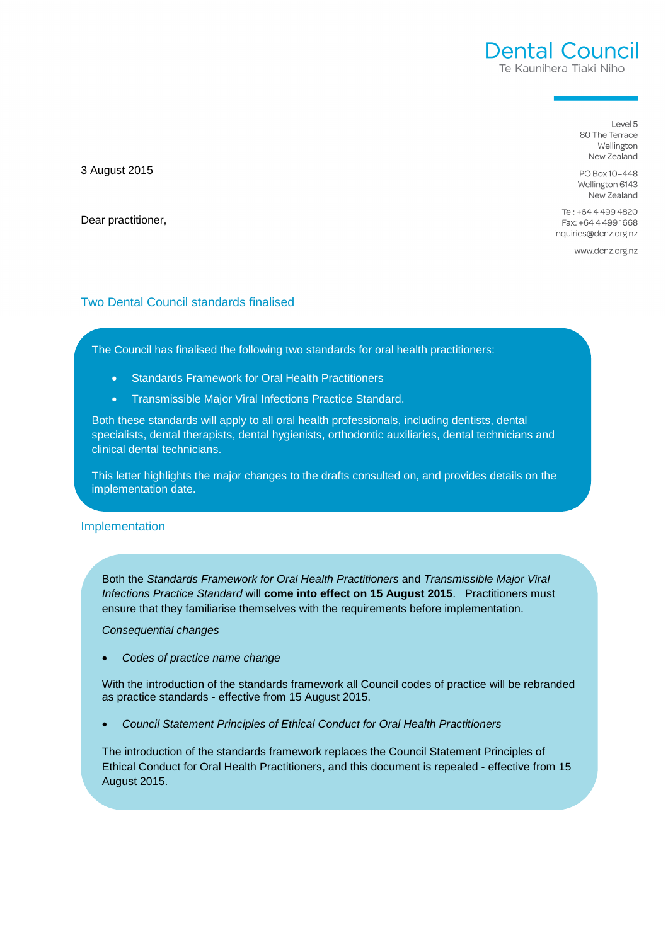Level 5 80 The Terrace Wellington New Zealand

PO Box 10-448 Wellington 6143 New Zealand

Tel: +64 4 499 4820 Fax: +64 4 499 1668 inquiries@dcnz.org.nz

www.dcnz.org.nz

## Two Dental Council standards finalised

The Council has finalised the following two standards for oral health practitioners:

- Standards Framework for Oral Health Practitioners
- Transmissible Major Viral Infections Practice Standard.

Both these standards will apply to all oral health professionals, including dentists, dental specialists, dental therapists, dental hygienists, orthodontic auxiliaries, dental technicians and clinical dental technicians.

This letter highlights the major changes to the drafts consulted on, and provides details on the implementation date.

## Implementation

Both the Standards Framework for Oral Health Practitioners and Transmissible Major Viral Infections Practice Standard will **come into effect on 15 August 2015**. Practitioners must ensure that they familiarise themselves with the requirements before implementation.

Consequential changes

Codes of practice name change

With the introduction of the standards framework all Council codes of practice will be rebranded as practice standards - effective from 15 August 2015.

• Council Statement Principles of Ethical Conduct for Oral Health Practitioners

The introduction of the standards framework replaces the Council Statement Principles of Ethical Conduct for Oral Health Practitioners, and this document is repealed - effective from 15 August 2015.

3 August 2015

Dear practitioner,

# **Dental Council** Te Kaunihera Tiaki Niho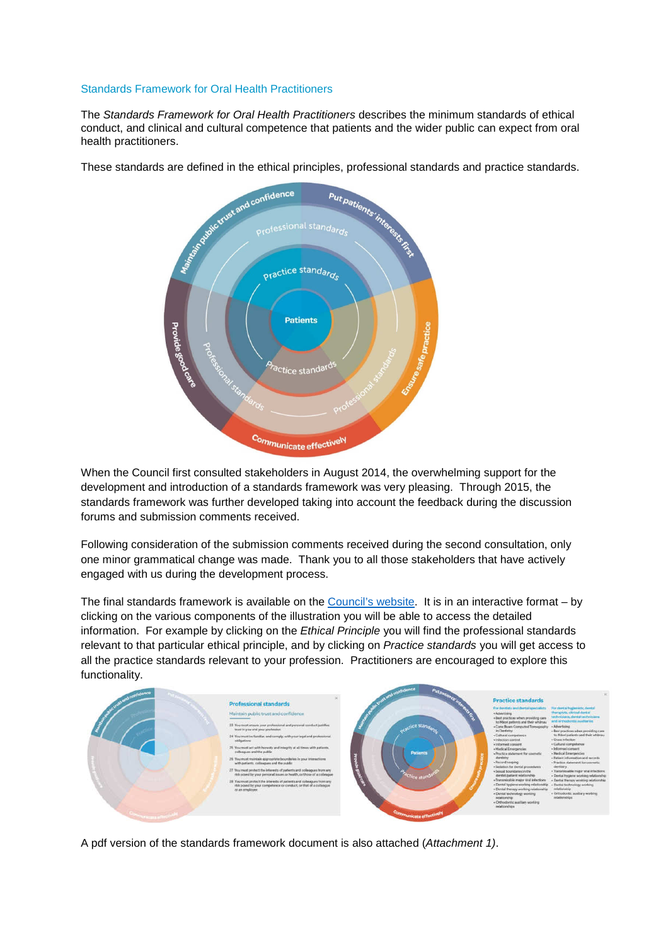#### Standards Framework for Oral Health Practitioners

The Standards Framework for Oral Health Practitioners describes the minimum standards of ethical conduct, and clinical and cultural competence that patients and the wider public can expect from oral health practitioners.

These standards are defined in the ethical principles, professional standards and practice standards.



When the Council first consulted stakeholders in August 2014, the overwhelming support for the development and introduction of a standards framework was very pleasing. Through 2015, the standards framework was further developed taking into account the feedback during the discussion forums and submission comments received.

Following consideration of the submission comments received during the second consultation, only one minor grammatical change was made. Thank you to all those stakeholders that have actively engaged with us during the development process.

The final standards framework is available on the Council's website. It is in an interactive format – by clicking on the various components of the illustration you will be able to access the detailed information. For example by clicking on the *Ethical Principle* you will find the professional standards relevant to that particular ethical principle, and by clicking on Practice standards you will get access to all the practice standards relevant to your profession. Practitioners are encouraged to explore this functionality.



A pdf version of the standards framework document is also attached (Attachment 1).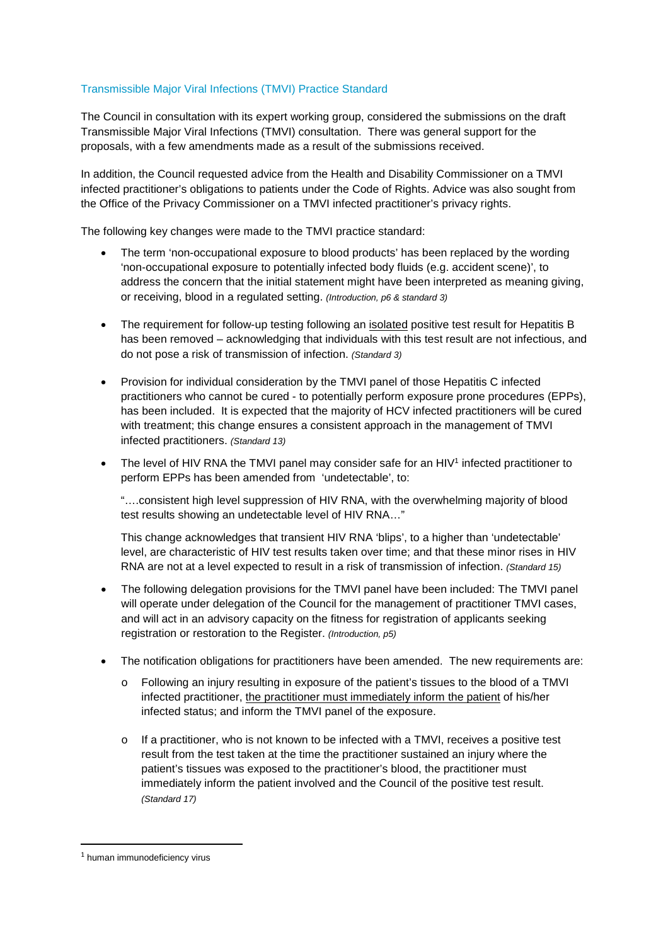## Transmissible Major Viral Infections (TMVI) Practice Standard

The Council in consultation with its expert working group, considered the submissions on the draft Transmissible Major Viral Infections (TMVI) consultation. There was general support for the proposals, with a few amendments made as a result of the submissions received.

In addition, the Council requested advice from the Health and Disability Commissioner on a TMVI infected practitioner's obligations to patients under the Code of Rights. Advice was also sought from the Office of the Privacy Commissioner on a TMVI infected practitioner's privacy rights.

The following key changes were made to the TMVI practice standard:

- The term 'non-occupational exposure to blood products' has been replaced by the wording 'non-occupational exposure to potentially infected body fluids (e.g. accident scene)', to address the concern that the initial statement might have been interpreted as meaning giving, or receiving, blood in a regulated setting. (Introduction, p6 & standard 3)
- The requirement for follow-up testing following an isolated positive test result for Hepatitis B has been removed – acknowledging that individuals with this test result are not infectious, and do not pose a risk of transmission of infection. (Standard 3)
- Provision for individual consideration by the TMVI panel of those Hepatitis C infected practitioners who cannot be cured - to potentially perform exposure prone procedures (EPPs), has been included. It is expected that the majority of HCV infected practitioners will be cured with treatment; this change ensures a consistent approach in the management of TMVI infected practitioners. (Standard 13)
- The level of HIV RNA the TMVI panel may consider safe for an HIV<sup>1</sup> infected practitioner to perform EPPs has been amended from 'undetectable', to:

"….consistent high level suppression of HIV RNA, with the overwhelming majority of blood test results showing an undetectable level of HIV RNA…"

This change acknowledges that transient HIV RNA 'blips', to a higher than 'undetectable' level, are characteristic of HIV test results taken over time; and that these minor rises in HIV RNA are not at a level expected to result in a risk of transmission of infection. (Standard 15)

- The following delegation provisions for the TMVI panel have been included: The TMVI panel will operate under delegation of the Council for the management of practitioner TMVI cases, and will act in an advisory capacity on the fitness for registration of applicants seeking registration or restoration to the Register. (Introduction, p5)
- The notification obligations for practitioners have been amended. The new requirements are:
	- o Following an injury resulting in exposure of the patient's tissues to the blood of a TMVI infected practitioner, the practitioner must immediately inform the patient of his/her infected status; and inform the TMVI panel of the exposure.
	- o If a practitioner, who is not known to be infected with a TMVI, receives a positive test result from the test taken at the time the practitioner sustained an injury where the patient's tissues was exposed to the practitioner's blood, the practitioner must immediately inform the patient involved and the Council of the positive test result. (Standard 17)

l

<sup>&</sup>lt;sup>1</sup> human immunodeficiency virus